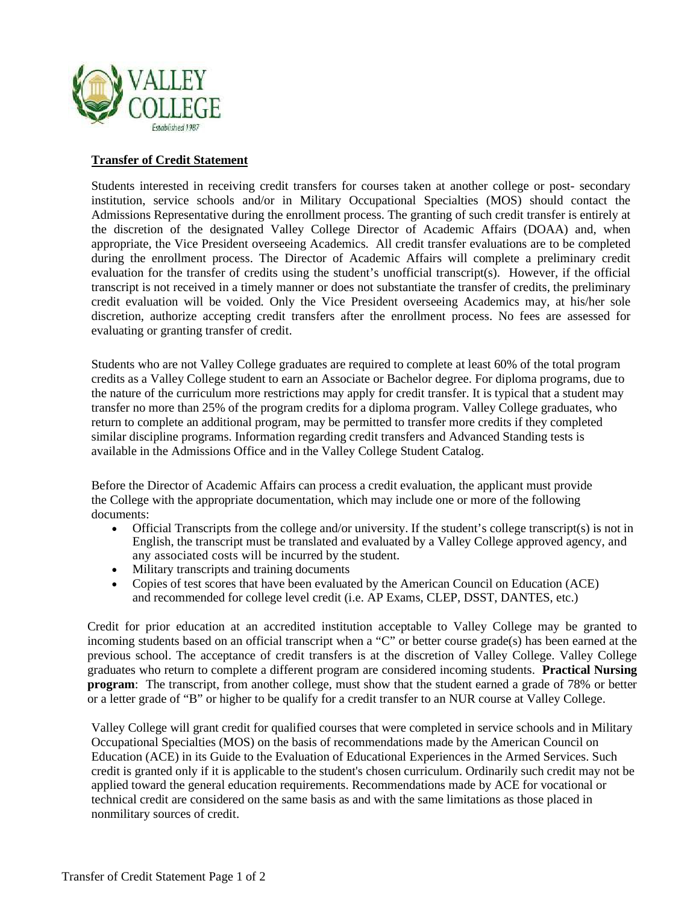

## **Transfer of Credit Statement**

Students interested in receiving credit transfers for courses taken at another college or post- secondary institution, service schools and/or in Military Occupational Specialties (MOS) should contact the Admissions Representative during the enrollment process. The granting of such credit transfer is entirely at the discretion of the designated Valley College Director of Academic Affairs (DOAA) and, when appropriate, the Vice President overseeing Academics. All credit transfer evaluations are to be completed during the enrollment process. The Director of Academic Affairs will complete a preliminary credit evaluation for the transfer of credits using the student's unofficial transcript(s). However, if the official transcript is not received in a timely manner or does not substantiate the transfer of credits, the preliminary credit evaluation will be voided. Only the Vice President overseeing Academics may, at his/her sole discretion, authorize accepting credit transfers after the enrollment process. No fees are assessed for evaluating or granting transfer of credit.

Students who are not Valley College graduates are required to complete at least 60% of the total program credits as a Valley College student to earn an Associate or Bachelor degree. For diploma programs, due to the nature of the curriculum more restrictions may apply for credit transfer. It is typical that a student may transfer no more than 25% of the program credits for a diploma program. Valley College graduates, who return to complete an additional program, may be permitted to transfer more credits if they completed similar discipline programs. Information regarding credit transfers and Advanced Standing tests is available in the Admissions Office and in the Valley College Student Catalog.

Before the Director of Academic Affairs can process a credit evaluation, the applicant must provide the College with the appropriate documentation, which may include one or more of the following documents:

- Official Transcripts from the college and/or university. If the student's college transcript(s) is not in English, the transcript must be translated and evaluated by a Valley College approved agency, and any associated costs will be incurred by the student.
- Military transcripts and training documents
- Copies of test scores that have been evaluated by the American Council on Education (ACE) and recommended for college level credit (i.e. AP Exams, CLEP, DSST, DANTES, etc.)

Credit for prior education at an accredited institution acceptable to Valley College may be granted to incoming students based on an official transcript when a "C" or better course grade(s) has been earned at the previous school. The acceptance of credit transfers is at the discretion of Valley College. Valley College graduates who return to complete a different program are considered incoming students. **Practical Nursing program**: The transcript, from another college, must show that the student earned a grade of 78% or better or a letter grade of "B" or higher to be qualify for a credit transfer to an NUR course at Valley College.

Valley College will grant credit for qualified courses that were completed in service schools and in Military Occupational Specialties (MOS) on the basis of recommendations made by the American Council on Education (ACE) in its Guide to the Evaluation of Educational Experiences in the Armed Services. Such credit is granted only if it is applicable to the student's chosen curriculum. Ordinarily such credit may not be applied toward the general education requirements. Recommendations made by ACE for vocational or technical credit are considered on the same basis as and with the same limitations as those placed in nonmilitary sources of credit.